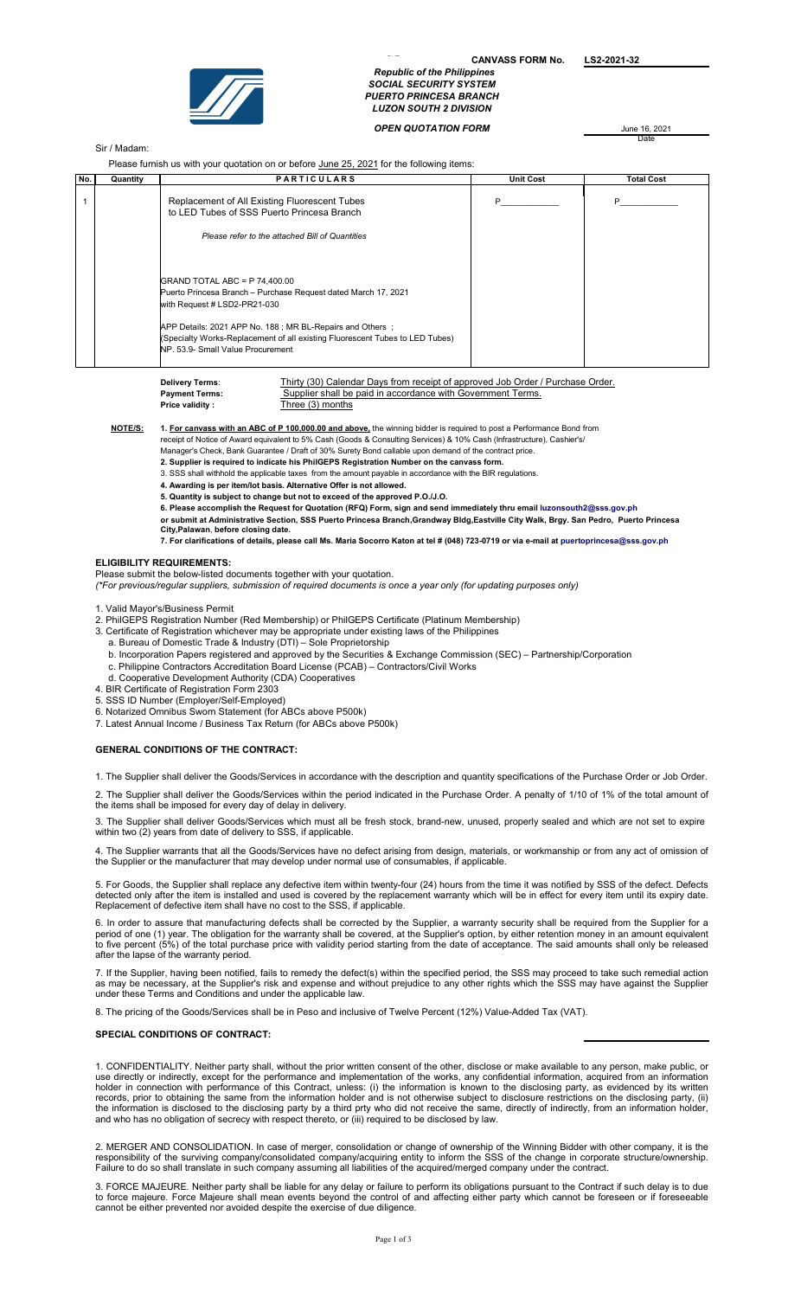

CANVASS FORM No. LS2-2021-32 Republic of the Philippines SOCIAL SECURITY SYSTEM PUERTO PRINCESA BRANCH

LUZON SOUTH 2 DIVISION

**OPEN QUOTATION FORM June 16, 2021** 

Date

# Sir / Madam:

Please furnish us with your quotation on or before June 25, 2021 for the following items:

| No. | Quantity | <b>PARTICULARS</b>                                                                                                                                                            | <b>Unit Cost</b> | <b>Total Cost</b> |
|-----|----------|-------------------------------------------------------------------------------------------------------------------------------------------------------------------------------|------------------|-------------------|
|     |          | Replacement of All Existing Fluorescent Tubes<br>to LED Tubes of SSS Puerto Princesa Branch                                                                                   |                  | P                 |
|     |          | Please refer to the attached Bill of Quantities                                                                                                                               |                  |                   |
|     |          | $ GRAND\hspace{0.1cm}TOTAL\hspace{0.1cm}ABC = P\hspace{0.1cm}74,400.00$<br>Puerto Princesa Branch - Purchase Request dated March 17, 2021<br>with Request # LSD2-PR21-030     |                  |                   |
|     |          | APP Details: 2021 APP No. 188; MR BL-Repairs and Others;<br>(Specialty Works-Replacement of all existing Fluorescent Tubes to LED Tubes)<br>NP. 53.9- Small Value Procurement |                  |                   |

Thirty (30) Calendar Days from receipt of approved Job Order / Purchase Order. Payment Terms: Supplier shall be paid in accordance with Government Terms.<br>Price validity: Three (3) months Three (3) months Delivery Terms:

NOTE/S: 1. For canvass with an ABC of P 100,000.00 and above, the winning bidder is required to post a Performance Bond from

- receipt of Notice of Award equivalent to 5% Cash (Goods & Consulting Services) & 10% Cash (Infrastructure), Cashier's/ Manager's Check, Bank Guarantee / Draft of 30% Surety Bond callable upon demand of the contract price.
	- 2. Supplier is required to indicate his PhilGEPS Registration Number on the canvass form.
	- 3. SSS shall withhold the applicable taxes from the amount payable in accordance with the BIR regulations.
	- 4. Awarding is per item/lot basis. Alternative Offer is not allowed.
	- 5. Quantity is subject to change but not to exceed of the approved P.O./J.O.
	- 6. Please accomplish the Request for Quotation (RFQ) Form, sign and send immediately thru email luzonsouth2@sss.gov.ph
	- or submit at Administrative Section, SSS Puerto Princesa Branch,Grandway Bldg,Eastville City Walk, Brgy. San Pedro, Puerto Princesa City,Palawan, before closing date.

7. For clarifications of details, please call Ms. Maria Socorro Katon at tel # (048) 723-0719 or via e-mail at puertoprincesa@sss.gov.ph

#### ELIGIBILITY REQUIREMENTS:

Please submit the below-listed documents together with your quotation.

(\*For previous/regular suppliers, submission of required documents is once a year only (for updating purposes only)

1. Valid Mayor's/Business Permit

2. PhilGEPS Registration Number (Red Membership) or PhilGEPS Certificate (Platinum Membership)

- 3. Certificate of Registration whichever may be appropriate under existing laws of the Philippines
	- a. Bureau of Domestic Trade & Industry (DTI) Sole Proprietorship
- b. Incorporation Papers registered and approved by the Securities & Exchange Commission (SEC) Partnership/Corporation
- c. Philippine Contractors Accreditation Board License (PCAB) Contractors/Civil Works
- d. Cooperative Development Authority (CDA) Cooperatives
- 4. BIR Certificate of Registration Form 2303
- 5. SSS ID Number (Employer/Self-Employed)
- 6. Notarized Omnibus Sworn Statement (for ABCs above P500k)
- 7. Latest Annual Income / Business Tax Return (for ABCs above P500k)

# GENERAL CONDITIONS OF THE CONTRACT:

1. The Supplier shall deliver the Goods/Services in accordance with the description and quantity specifications of the Purchase Order or Job Order.

2. The Supplier shall deliver the Goods/Services within the period indicated in the Purchase Order. A penalty of 1/10 of 1% of the total amount of the items shall be imposed for every day of delay in delivery.

3. The Supplier shall deliver Goods/Services which must all be fresh stock, brand-new, unused, properly sealed and which are not set to expire within two (2) years from date of delivery to SSS, if applicable.

4. The Supplier warrants that all the Goods/Services have no defect arising from design, materials, or workmanship or from any act of omission of the Supplier or the manufacturer that may develop under normal use of consumables, if applicable.

5. For Goods, the Supplier shall replace any defective item within twenty-four (24) hours from the time it was notified by SSS of the defect. Defects detected only after the item is installed and used is covered by the replacement warranty which will be in effect for every item until its expiry date. Replacement of defective item shall have no cost to the SSS, if applicable.

6. In order to assure that manufacturing defects shall be corrected by the Supplier, a warranty security shall be required from the Supplier for a period of one (1) year. The obligation for the warranty shall be covered, at the Supplier's option, by either retention money in an amount equivalent to five percent (5%) of the total purchase price with validity period starting from the date of acceptance. The said amounts shall only be released after the lapse of the warranty period.

7. If the Supplier, having been notified, fails to remedy the defect(s) within the specified period, the SSS may proceed to take such remedial action as may be necessary, at the Supplier's risk and expense and without prejudice to any other rights which the SSS may have against the Supplier under these Terms and Conditions and under the applicable law.

8. The pricing of the Goods/Services shall be in Peso and inclusive of Twelve Percent (12%) Value-Added Tax (VAT).

### SPECIAL CONDITIONS OF CONTRACT:

1. CONFIDENTIALITY. Neither party shall, without the prior written consent of the other, disclose or make available to any person, make public, or use directly or indirectly, except for the performance and implementation of the works, any confidential information, acquired from an information holder in connection with performance of this Contract, unless: (i) the information is known to the disclosing party, as evidenced by its written records, prior to obtaining the same from the information holder and is not otherwise subject to disclosure restrictions on the disclosing party, (ii) the information is disclosed to the disclosing party by a third prty who did not receive the same, directly of indirectly, from an information holder, and who has no obligation of secrecy with respect thereto, or (iii) required to be disclosed by law.

2. MERGER AND CONSOLIDATION. In case of merger, consolidation or change of ownership of the Winning Bidder with other company, it is the responsibility of the surviving company/consolidated company/acquiring entity to inform the SSS of the change in corporate structure/ownership. Failure to do so shall translate in such company assuming all liabilities of the acquired/merged company under the contract.

3. FORCE MAJEURE. Neither party shall be liable for any delay or failure to perform its obligations pursuant to the Contract if such delay is to due to force majeure. Force Majeure shall mean events beyond the control of and affecting either party which cannot be foreseen or if foreseeable cannot be either prevented nor avoided despite the exercise of due diligence.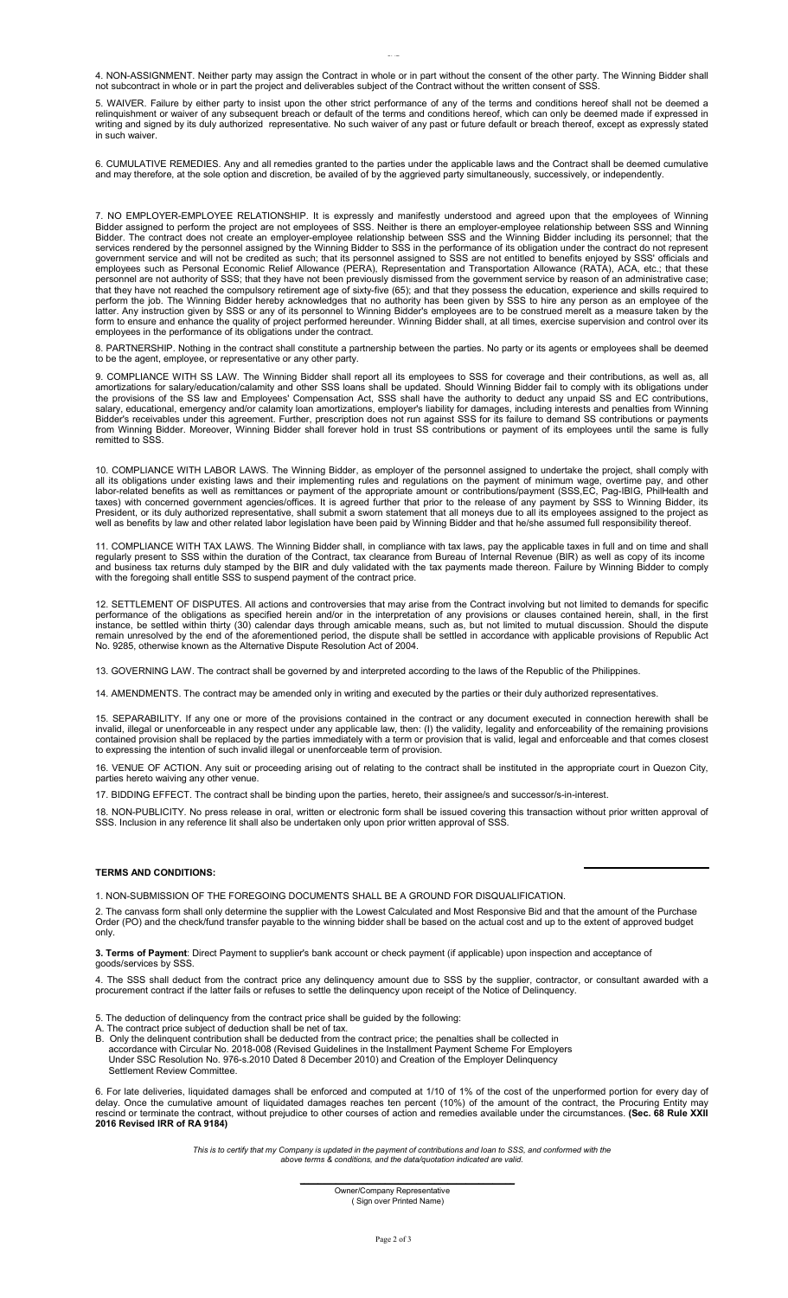4. NON-ASSIGNMENT. Neither party may assign the Contract in whole or in part without the consent of the other party. The Winning Bidder shall not subcontract in whole or in part the project and deliverables subject of the Contract without the written consent of SSS.

5. WAIVER. Failure by either party to insist upon the other strict performance of any of the terms and conditions hereof shall not be deemed a relinquishment or waiver of any subsequent breach or default of the terms and conditions hereof, which can only be deemed made if expressed in writing and signed by its duly authorized representative. No such waiver of any past or future default or breach thereof, except as expressly stated in such waiver.

6. CUMULATIVE REMEDIES. Any and all remedies granted to the parties under the applicable laws and the Contract shall be deemed cumulative and may therefore, at the sole option and discretion, be availed of by the aggrieved party simultaneously, successively, or independently.

7. NO EMPLOYER-EMPLOYEE RELATIONSHIP. It is expressly and manifestly understood and agreed upon that the employees of Winning Bidder assigned to perform the project are not employees of SSS. Neither is there an employer-employee relationship between SSS and Winning Bidder. The contract does not create an employer-employee relationship between SSS and the Winning Bidder including its personnel; that the services rendered by the personnel assigned by the Winning Bidder to SSS in the performance of its obligation under the contract do not represent government service and will not be credited as such; that its personnel assigned to SSS are not entitled to benefits enjoyed by SSS' officials and employees such as Personal Economic Relief Allowance (PERA), Representation and Transportation Allowance (RATA), ACA, etc.; that these personnel are not authority of SSS; that they have not been previously dismissed from the government service by reason of an administrative case; that they have not reached the compulsory retirement age of sixty-five (65); and that they possess the education, experience and skills required to perform the job. The Winning Bidder hereby acknowledges that no authority has been given by SSS to hire any person as an employee of the latter. Any instruction given by SSS or any of its personnel to Winning Bidder's employees are to be construed merelt as a measure taken by the form to ensure and enhance the quality of project performed hereunder. Winning Bidder shall, at all times, exercise supervision and control over its employees in the performance of its obligations under the contract.

8. PARTNERSHIP. Nothing in the contract shall constitute a partnership between the parties. No party or its agents or employees shall be deemed to be the agent, employee, or representative or any other party.

9. COMPLIANCE WITH SS LAW. The Winning Bidder shall report all its employees to SSS for coverage and their contributions, as well as, all amortizations for salary/education/calamity and other SSS loans shall be updated. Should Winning Bidder fail to comply with its obligations under the provisions of the SS law and Employees' Compensation Act, SSS shall have the authority to deduct any unpaid SS and EC contributions, salary, educational, emergency and/or calamity loan amortizations, employer's liability for damages, including interests and penalties from Winning Bidder's receivables under this agreement. Further, prescription does not run against SSS for its failure to demand SS contributions or payments from Winning Bidder. Moreover, Winning Bidder shall forever hold in trust SS contributions or payment of its employees until the same is fully remitted to SSS.

10. COMPLIANCE WITH LABOR LAWS. The Winning Bidder, as employer of the personnel assigned to undertake the project, shall comply with all its obligations under existing laws and their implementing rules and regulations on the payment of minimum wage, overtime pay, and other labor-related benefits as well as remittances or payment of the appropriate amount or contributions/payment (SSS,EC, Pag-IBIG, PhilHealth and taxes) with concerned government agencies/offices. It is agreed further that prior to the release of any payment by SSS to Winning Bidder, its President, or its duly authorized representative, shall submit a sworn statement that all moneys due to all its employees assigned to the project as well as benefits by law and other related labor legislation have been paid by Winning Bidder and that he/she assumed full responsibility thereof.

11. COMPLIANCE WITH TAX LAWS. The Winning Bidder shall, in compliance with tax laws, pay the applicable taxes in full and on time and shall regularly present to SSS within the duration of the Contract, tax clearance from Bureau of Internal Revenue (BIR) as well as copy of its income and business tax returns duly stamped by the BIR and duly validated with the tax payments made thereon. Failure by Winning Bidder to comply with the foregoing shall entitle SSS to suspend payment of the contract price.

12. SETTLEMENT OF DISPUTES. All actions and controversies that may arise from the Contract involving but not limited to demands for specific performance of the obligations as specified herein and/or in the interpretation of any provisions or clauses contained herein, shall, in the first instance, be settled within thirty (30) calendar days through amicable means, such as, but not limited to mutual discussion. Should the dispute remain unresolved by the end of the aforementioned period, the dispute shall be settled in accordance with applicable provisions of Republic Act No. 9285, otherwise known as the Alternative Dispute Resolution Act of 2004.

13. GOVERNING LAW. The contract shall be governed by and interpreted according to the laws of the Republic of the Philippines.

14. AMENDMENTS. The contract may be amended only in writing and executed by the parties or their duly authorized representatives.

15. SEPARABILITY. If any one or more of the provisions contained in the contract or any document executed in connection herewith shall be invalid, illegal or unenforceable in any respect under any applicable law, then: (I) the validity, legality and enforceability of the remaining provisions contained provision shall be replaced by the parties immediately with a term or provision that is valid, legal and enforceable and that comes closest to expressing the intention of such invalid illegal or unenforceable term of provision.

16. VENUE OF ACTION. Any suit or proceeding arising out of relating to the contract shall be instituted in the appropriate court in Quezon City, parties hereto waiving any other venue.

17. BIDDING EFFECT. The contract shall be binding upon the parties, hereto, their assignee/s and successor/s-in-interest.

18. NON-PUBLICITY. No press release in oral, written or electronic form shall be issued covering this transaction without prior written approval of SSS. Inclusion in any reference lit shall also be undertaken only upon prior written approval of SSS.

#### TERMS AND CONDITIONS:

1. NON-SUBMISSION OF THE FOREGOING DOCUMENTS SHALL BE A GROUND FOR DISQUALIFICATION.

2. The canvass form shall only determine the supplier with the Lowest Calculated and Most Responsive Bid and that the amount of the Purchase Order (PO) and the check/fund transfer payable to the winning bidder shall be based on the actual cost and up to the extent of approved budget only.

3. Terms of Payment: Direct Payment to supplier's bank account or check payment (if applicable) upon inspection and acceptance of goods/services by SSS.

4. The SSS shall deduct from the contract price any delinquency amount due to SSS by the supplier, contractor, or consultant awarded with a procurement contract if the latter fails or refuses to settle the delinquency upon receipt of the Notice of Delinquency.

- 5. The deduction of delinquency from the contract price shall be guided by the following:
- A. The contract price subject of deduction shall be net of tax.
- B. Only the delinquent contribution shall be deducted from the contract price; the penalties shall be collected in accordance with Circular No. 2018-008 (Revised Guidelines in the Installment Payment Scheme For Employers Under SSC Resolution No. 976-s.2010 Dated 8 December 2010) and Creation of the Employer Delinquency Settlement Review Committee.

6. For late deliveries, liquidated damages shall be enforced and computed at 1/10 of 1% of the cost of the unperformed portion for every day of delay. Once the cumulative amount of liquidated damages reaches ten percent (10%) of the amount of the contract, the Procuring Entity may rescind or terminate the contract, without prejudice to other courses of action and remedies available under the circumstances. (Sec. 68 Rule XXII 2016 Revised IRR of RA 9184)

This is to certify that my Company is updated in the payment of contributions and loan to SSS, and conformed with the above terms & conditions, and the data/quotation indicated are valid.

 $\mathcal{L}_\text{max}$  and the contract of the contract of the contract of the contract of the contract of the contract of the contract of the contract of the contract of the contract of the contract of the contract of the contrac Owner/Company Representative ( Sign over Printed Name)